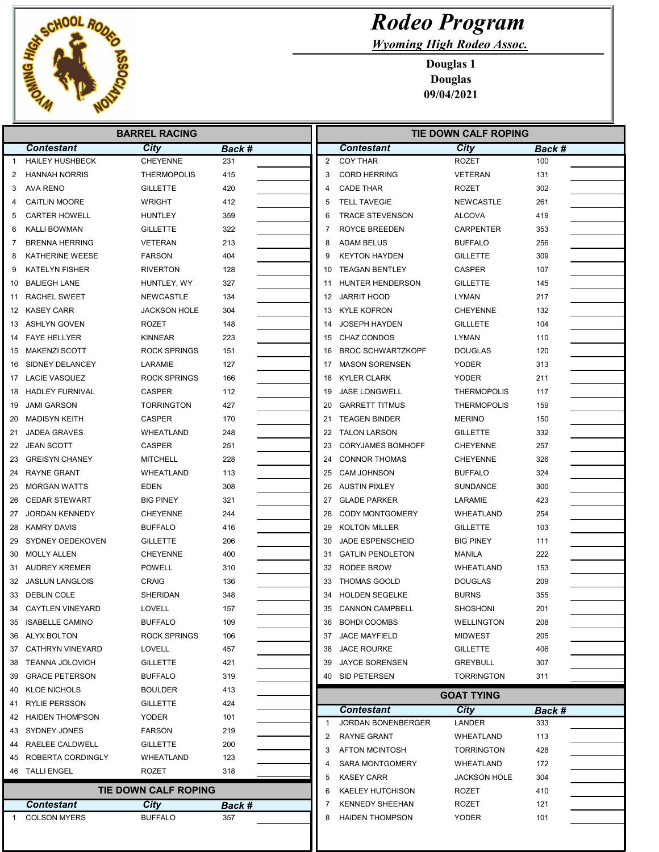

Wyoming High Rodeo Assoc.

|                | <b>BARREL RACING</b>                     |                             |               |    | <b>TIE DOWN CALF ROPING</b>                      |                     |        |  |
|----------------|------------------------------------------|-----------------------------|---------------|----|--------------------------------------------------|---------------------|--------|--|
|                | <b>Contestant</b>                        | City                        | Back #        |    | <b>Contestant</b>                                | City                | Back # |  |
| $\overline{1}$ | <b>HAILEY HUSHBECK</b>                   | <b>CHEYENNE</b>             | 231           | 2  | <b>COY THAR</b>                                  | <b>ROZET</b>        | 100    |  |
| 2              | <b>HANNAH NORRIS</b>                     | <b>THERMOPOLIS</b>          | 415           | 3  | <b>CORD HERRING</b>                              | <b>VETERAN</b>      | 131    |  |
| 3              | <b>AVA RENO</b>                          | <b>GILLETTE</b>             | 420           | 4  | <b>CADE THAR</b>                                 | <b>ROZET</b>        | 302    |  |
| 4              | <b>CAITLIN MOORE</b>                     | <b>WRIGHT</b>               | 412           | 5  | <b>TELL TAVEGIE</b>                              | <b>NEWCASTLE</b>    | 261    |  |
| 5              | <b>CARTER HOWELL</b>                     | <b>HUNTLEY</b>              | 359           | 6  | <b>TRACE STEVENSON</b>                           | <b>ALCOVA</b>       | 419    |  |
| 6              | KALLI BOWMAN                             | <b>GILLETTE</b>             | 322           | 7  | ROYCE BREEDEN                                    | <b>CARPENTER</b>    | 353    |  |
| 7              | <b>BRENNA HERRING</b>                    | <b>VETERAN</b>              | 213           | 8  | <b>ADAM BELUS</b>                                | <b>BUFFALO</b>      | 256    |  |
| 8              | <b>KATHERINE WEESE</b>                   | <b>FARSON</b>               | 404           | 9  | <b>KEYTON HAYDEN</b>                             | <b>GILLETTE</b>     | 309    |  |
| 9              | <b>KATELYN FISHER</b>                    | <b>RIVERTON</b>             | 128           | 10 | <b>TEAGAN BENTLEY</b>                            | <b>CASPER</b>       | 107    |  |
| 10             | <b>BALIEGH LANE</b>                      | HUNTLEY, WY                 | 327           | 11 | HUNTER HENDERSON                                 | <b>GILLETTE</b>     | 145    |  |
| 11             | <b>RACHEL SWEET</b>                      | NEWCASTLE                   | 134           | 12 | <b>JARRIT HOOD</b>                               | <b>LYMAN</b>        | 217    |  |
| 12             | KASEY CARR                               | <b>JACKSON HOLE</b>         | 304           | 13 | <b>KYLE KOFRON</b>                               | <b>CHEYENNE</b>     | 132    |  |
| 13             | ASHLYN GOVEN                             | <b>ROZET</b>                | 148           | 14 | <b>JOSEPH HAYDEN</b>                             | <b>GILLLETE</b>     | 104    |  |
| 14             | <b>FAYE HELLYER</b>                      | <b>KINNEAR</b>              | 223           | 15 | <b>CHAZ CONDOS</b>                               | LYMAN               | 110    |  |
| 15             | MAKENZI SCOTT                            | <b>ROCK SPRINGS</b>         | 151           | 16 | <b>BROC SCHWARTZKOPF</b>                         | <b>DOUGLAS</b>      | 120    |  |
| 16             | <b>SIDNEY DELANCEY</b>                   | LARAMIE                     | 127           | 17 | <b>MASON SORENSEN</b>                            | <b>YODER</b>        | 313    |  |
| 17             | <b>LACIE VASQUEZ</b>                     | <b>ROCK SPRINGS</b>         | 166           | 18 | <b>KYLER CLARK</b>                               | <b>YODER</b>        | 211    |  |
| 18             | HADLEY FURNIVAL                          | <b>CASPER</b>               | 112           | 19 | <b>JASE LONGWELL</b>                             | <b>THERMOPOLIS</b>  | 117    |  |
| 19             | <b>JAMI GARSON</b>                       | <b>TORRINGTON</b>           | 427           | 20 | <b>GARRETT TITMUS</b>                            | <b>THERMOPOLIS</b>  | 159    |  |
| 20             | <b>MADISYN KEITH</b>                     | <b>CASPER</b>               | 170           | 21 | <b>TEAGEN BINDER</b>                             | <b>MERINO</b>       | 150    |  |
| 21             | <b>JADEA GRAVES</b>                      | WHEATLAND                   | 248           | 22 | <b>TALON LARSON</b>                              | <b>GILLETTE</b>     | 332    |  |
| 22             | <b>JEAN SCOTT</b>                        | <b>CASPER</b>               | 251           | 23 | <b>CORYJAMES BOMHOFF</b>                         | <b>CHEYENNE</b>     | 257    |  |
| 23             | <b>GREISYN CHANEY</b>                    | <b>MITCHELL</b>             | 228           | 24 | <b>CONNOR THOMAS</b>                             | <b>CHEYENNE</b>     | 326    |  |
| 24             | RAYNE GRANT                              | WHEATLAND                   | 113           | 25 | <b>CAM JOHNSON</b>                               | <b>BUFFALO</b>      | 324    |  |
| 25             | <b>MORGAN WATTS</b>                      | EDEN                        | 308           | 26 | <b>AUSTIN PIXLEY</b>                             | <b>SUNDANCE</b>     | 300    |  |
| 26             | <b>CEDAR STEWART</b>                     | <b>BIG PINEY</b>            | 321           | 27 | <b>GLADE PARKER</b>                              | LARAMIE             | 423    |  |
| 27             | <b>JORDAN KENNEDY</b>                    | <b>CHEYENNE</b>             | 244           | 28 | CODY MONTGOMERY                                  | WHEATLAND           | 254    |  |
| 28             | KAMRY DAVIS                              | <b>BUFFALO</b>              | 416           | 29 | <b>KOLTON MILLER</b>                             | <b>GILLETTE</b>     | 103    |  |
| 29             | SYDNEY OEDEKOVEN                         | <b>GILLETTE</b>             | 206           | 30 | JADE ESPENSCHEID                                 | <b>BIG PINEY</b>    | 111    |  |
| 30             | MOLLY ALLEN                              | <b>CHEYENNE</b>             | 400           | 31 | <b>GATLIN PENDLETON</b>                          | MANILA              | 222    |  |
| 31             | <b>AUDREY KREMER</b>                     | <b>POWELL</b>               | 310           | 32 | RODEE BROW                                       | WHEATLAND           | 153    |  |
| 32             | <b>JASLUN LANGLOIS</b>                   | CRAIG                       | 136           | 33 | <b>THOMAS GOOLD</b>                              | <b>DOUGLAS</b>      | 209    |  |
|                | 33 DEBLIN COLE                           | SHERIDAN                    | 348           |    | <b>HOLDEN SEGELKE</b>                            | <b>BURNS</b>        | 355    |  |
|                | 34 CAYTLEN VINEYARD                      | LOVELL                      | 157           | 35 | <b>CANNON CAMPBELL</b>                           | <b>SHOSHONI</b>     | 201    |  |
|                | 35 ISABELLE CAMINO                       | <b>BUFFALO</b>              | 109           |    | 36 BOHDI COOMBS                                  | <b>WELLINGTON</b>   | 208    |  |
|                | 36 ALYX BOLTON                           | <b>ROCK SPRINGS</b>         | 106           |    | 37 JACE MAYFIELD                                 | <b>MIDWEST</b>      | 205    |  |
|                | 37 CATHRYN VINEYARD                      | LOVELL                      | 457           |    | 38 JACE ROURKE                                   | <b>GILLETTE</b>     | 406    |  |
|                | 38 TEANNA JOLOVICH                       | <b>GILLETTE</b>             | 421           |    | 39 JAYCE SORENSEN                                | <b>GREYBULL</b>     | 307    |  |
| 39             | <b>GRACE PETERSON</b>                    | <b>BUFFALO</b>              | 319           |    | 40 SID PETERSEN                                  | <b>TORRINGTON</b>   | 311    |  |
| 40             | <b>KLOE NICHOLS</b>                      | <b>BOULDER</b>              | 413           |    |                                                  |                     |        |  |
| 41             | <b>RYLIE PERSSON</b>                     | <b>GILLETTE</b>             | 424           |    |                                                  | <b>GOAT TYING</b>   |        |  |
| 42             | <b>HAIDEN THOMPSON</b>                   | YODER                       | 101           |    | <b>Contestant</b>                                | City                | Back # |  |
|                | 43 SYDNEY JONES                          | <b>FARSON</b>               | 219           |    | JORDAN BONENBERGER                               | LANDER              | 333    |  |
|                | 44 RAELEE CALDWELL                       | <b>GILLETTE</b>             | 200           | 2  | RAYNE GRANT                                      | WHEATLAND           | 113    |  |
| 45             | ROBERTA CORDINGLY                        | WHEATLAND                   | 123           | 3  | <b>AFTON MCINTOSH</b>                            | <b>TORRINGTON</b>   | 428    |  |
|                | 46 TALLI ENGEL                           | ROZET                       | 318           |    | <b>SARA MONTGOMERY</b>                           | WHEATLAND           | 172    |  |
|                |                                          |                             |               | 5  | <b>KASEY CARR</b>                                | <b>JACKSON HOLE</b> | 304    |  |
|                |                                          | <b>TIE DOWN CALF ROPING</b> |               | 6  | <b>KAELEY HUTCHISON</b>                          | ROZET               | 410    |  |
|                |                                          |                             |               | 7  |                                                  | ROZET               | 121    |  |
|                | <b>Contestant</b><br><b>COLSON MYERS</b> | City<br><b>BUFFALO</b>      | Back #<br>357 |    | <b>KENNEDY SHEEHAN</b><br><b>HAIDEN THOMPSON</b> | YODER               | 101    |  |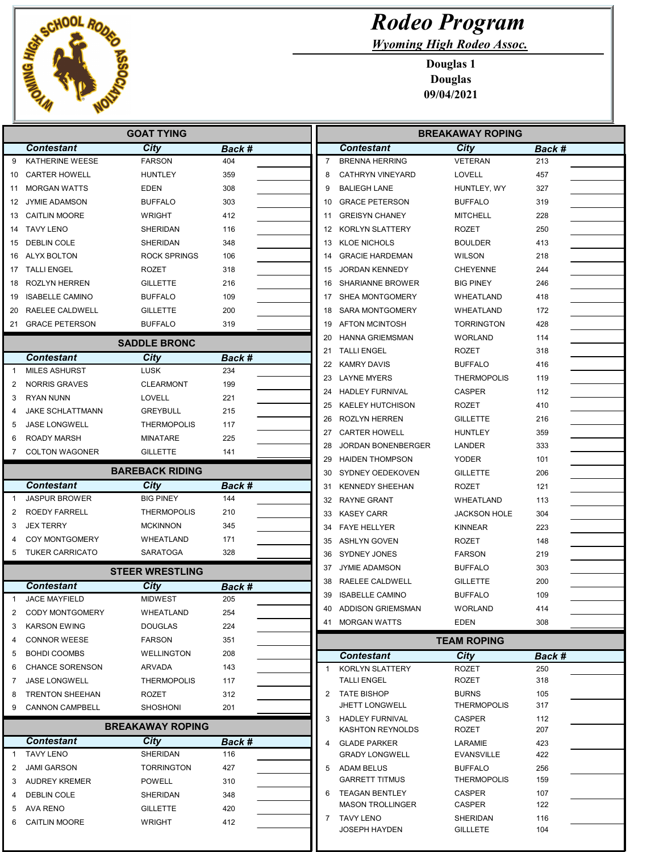

Wyoming High Rodeo Assoc.

|              |                                           | <b>GOAT TYING</b>          |               |                | <b>BREAKAWAY ROPING</b>               |                              |            |  |
|--------------|-------------------------------------------|----------------------------|---------------|----------------|---------------------------------------|------------------------------|------------|--|
|              | <b>Contestant</b>                         | <b>City</b>                | Back #        |                | <b>Contestant</b>                     | City                         | Back #     |  |
| 9            | KATHERINE WEESE                           | <b>FARSON</b>              | 404           | $\overline{7}$ | <b>BRENNA HERRING</b>                 | <b>VETERAN</b>               | 213        |  |
| 10           | <b>CARTER HOWELL</b>                      | <b>HUNTLEY</b>             | 359           | 8              | <b>CATHRYN VINEYARD</b>               | <b>LOVELL</b>                | 457        |  |
| 11           | <b>MORGAN WATTS</b>                       | EDEN                       | 308           | 9              | <b>BALIEGH LANE</b>                   | HUNTLEY, WY                  | 327        |  |
| 12           | <b>JYMIE ADAMSON</b>                      | <b>BUFFALO</b>             | 303           | 10             | <b>GRACE PETERSON</b>                 | <b>BUFFALO</b>               | 319        |  |
| 13           | <b>CAITLIN MOORE</b>                      | <b>WRIGHT</b>              | 412           | 11             | <b>GREISYN CHANEY</b>                 | <b>MITCHELL</b>              | 228        |  |
| 14           | <b>TAVY LENO</b>                          | SHERIDAN                   | 116           | 12             | KORLYN SLATTERY                       | ROZET                        | 250        |  |
| 15           | DEBLIN COLE                               | SHERIDAN                   | 348           | 13             | <b>KLOE NICHOLS</b>                   | <b>BOULDER</b>               | 413        |  |
| 16           | ALYX BOLTON                               | <b>ROCK SPRINGS</b>        | 106           | 14             | <b>GRACIE HARDEMAN</b>                | <b>WILSON</b>                | 218        |  |
| 17           | TALLI ENGEL                               | <b>ROZET</b>               | 318           | 15             | <b>JORDAN KENNEDY</b>                 | <b>CHEYENNE</b>              | 244        |  |
| 18           | <b>ROZLYN HERREN</b>                      | <b>GILLETTE</b>            | 216           | 16             | <b>SHARIANNE BROWER</b>               | <b>BIG PINEY</b>             | 246        |  |
| 19           | <b>ISABELLE CAMINO</b>                    | <b>BUFFALO</b>             | 109           | 17             | SHEA MONTGOMERY                       | WHEATLAND                    | 418        |  |
| 20           | RAELEE CALDWELL                           | <b>GILLETTE</b>            | 200           | 18             | <b>SARA MONTGOMERY</b>                | WHEATLAND                    | 172        |  |
|              | 21 GRACE PETERSON                         | <b>BUFFALO</b>             | 319           | 19             | <b>AFTON MCINTOSH</b>                 | TORRINGTON                   | 428        |  |
|              |                                           | <b>SADDLE BRONC</b>        |               | 20             | <b>HANNA GRIEMSMAN</b>                | <b>WORLAND</b>               | 114        |  |
|              |                                           |                            |               | 21             | <b>TALLI ENGEL</b>                    | <b>ROZET</b>                 | 318        |  |
|              | <b>Contestant</b><br><b>MILES ASHURST</b> | <b>City</b><br><b>LUSK</b> | Back #        | 22             | <b>KAMRY DAVIS</b>                    | <b>BUFFALO</b>               | 416        |  |
| -1           |                                           |                            | 234           | 23             | <b>LAYNE MYERS</b>                    | <b>THERMOPOLIS</b>           | 119        |  |
| 2            | <b>NORRIS GRAVES</b>                      | <b>CLEARMONT</b>           | 199           | 24             | <b>HADLEY FURNIVAL</b>                | <b>CASPER</b>                | 112        |  |
| 3            | <b>RYAN NUNN</b>                          | LOVELL                     | 221           | 25             | <b>KAELEY HUTCHISON</b>               | <b>ROZET</b>                 | 410        |  |
| 4            | <b>JAKE SCHLATTMANN</b>                   | <b>GREYBULL</b>            | 215           | 26             | ROZLYN HERREN                         | <b>GILLETTE</b>              | 216        |  |
| 5            | <b>JASE LONGWELL</b>                      | <b>THERMOPOLIS</b>         | 117           | 27             | <b>CARTER HOWELL</b>                  | <b>HUNTLEY</b>               | 359        |  |
| 6            | <b>ROADY MARSH</b>                        | <b>MINATARE</b>            | 225           | 28             | <b>JORDAN BONENBERGER</b>             | LANDER                       | 333        |  |
| 7            | <b>COLTON WAGONER</b>                     | <b>GILLETTE</b>            | 141           | 29             | <b>HAIDEN THOMPSON</b>                | <b>YODER</b>                 | 101        |  |
|              |                                           | <b>BAREBACK RIDING</b>     |               | 30             | SYDNEY OEDEKOVEN                      | <b>GILLETTE</b>              | 206        |  |
|              | <b>Contestant</b>                         | City                       | Back #        | 31             | <b>KENNEDY SHEEHAN</b>                | <b>ROZET</b>                 | 121        |  |
| -1           | <b>JASPUR BROWER</b>                      | <b>BIG PINEY</b>           | 144           | 32             | <b>RAYNE GRANT</b>                    | WHEATLAND                    | 113        |  |
| 2            | <b>ROEDY FARRELL</b>                      | <b>THERMOPOLIS</b>         | 210           | 33             | <b>KASEY CARR</b>                     | <b>JACKSON HOLE</b>          | 304        |  |
| 3            | <b>JEX TERRY</b>                          | <b>MCKINNON</b>            | 345           | 34             | <b>FAYE HELLYER</b>                   | <b>KINNEAR</b>               | 223        |  |
|              | <b>COY MONTGOMERY</b>                     | WHEATLAND                  | 171           | 35             | ASHLYN GOVEN                          | <b>ROZET</b>                 | 148        |  |
| 5            | <b>TUKER CARRICATO</b>                    | <b>SARATOGA</b>            | 328           | 36             | <b>SYDNEY JONES</b>                   | <b>FARSON</b>                | 219        |  |
|              |                                           | <b>STEER WRESTLING</b>     |               | 37             | <b>JYMIE ADAMSON</b>                  | <b>BUFFALO</b>               | 303        |  |
|              | <b>Contestant</b>                         | <b>City</b>                |               | 38             | RAELEE CALDWELL                       | <b>GILLETTE</b>              | 200        |  |
| $\mathbf{1}$ | <b>JACE MAYFIELD</b>                      | <b>MIDWEST</b>             | Back #<br>205 | 39             | <b>ISABELLE CAMINO</b>                | <b>BUFFALO</b>               | 109        |  |
| 2            | <b>CODY MONTGOMERY</b>                    | WHEATLAND                  | 254           | 40.            | ADDISON GRIEMSMAN                     | <b>WORLAND</b>               | 414        |  |
| 3            | <b>KARSON EWING</b>                       | <b>DOUGLAS</b>             | 224           |                | 41 MORGAN WATTS                       | <b>EDEN</b>                  | 308        |  |
| 4            | <b>CONNOR WEESE</b>                       | <b>FARSON</b>              | 351           |                |                                       |                              |            |  |
| 5            | <b>BOHDI COOMBS</b>                       | <b>WELLINGTON</b>          | 208           |                |                                       | <b>TEAM ROPING</b>           |            |  |
| 6            | <b>CHANCE SORENSON</b>                    | ARVADA                     | 143           |                | <b>Contestant</b>                     | City                         | Back #     |  |
| 7            | <b>JASE LONGWELL</b>                      | <b>THERMOPOLIS</b>         | 117           | $\mathbf{1}$   | KORLYN SLATTERY<br><b>TALLI ENGEL</b> | <b>ROZET</b><br><b>ROZET</b> | 250<br>318 |  |
| 8            | <b>TRENTON SHEEHAN</b>                    | ROZET                      | 312           |                | 2 TATE BISHOP                         | <b>BURNS</b>                 | 105        |  |
| 9            | <b>CANNON CAMPBELL</b>                    | <b>SHOSHONI</b>            | 201           |                | <b>JHETT LONGWELL</b>                 | <b>THERMOPOLIS</b>           | 317        |  |
|              |                                           |                            |               |                | 3 HADLEY FURNIVAL                     | <b>CASPER</b>                | 112        |  |
|              |                                           | <b>BREAKAWAY ROPING</b>    |               |                | <b>KASHTON REYNOLDS</b>               | ROZET                        | 207        |  |
|              | <b>Contestant</b>                         | <b>City</b>                | Back #        |                | 4 GLADE PARKER                        | LARAMIE                      | 423        |  |
| -1           | <b>TAVY LENO</b>                          | SHERIDAN                   | 116           |                | <b>GRADY LONGWELL</b>                 | <b>EVANSVILLE</b>            | 422        |  |
| 2            | <b>JAMI GARSON</b>                        | <b>TORRINGTON</b>          | 427           |                | 5 ADAM BELUS                          | <b>BUFFALO</b>               | 256        |  |
| 3            | <b>AUDREY KREMER</b>                      | <b>POWELL</b>              | 310           |                | <b>GARRETT TITMUS</b>                 | <b>THERMOPOLIS</b>           | 159        |  |
| 4            | DEBLIN COLE                               | SHERIDAN                   | 348           |                | 6 TEAGAN BENTLEY                      | <b>CASPER</b>                | 107        |  |
| 5            | AVA RENO                                  | <b>GILLETTE</b>            | 420           |                | <b>MASON TROLLINGER</b>               | CASPER                       | 122        |  |
| 6            | <b>CAITLIN MOORE</b>                      | <b>WRIGHT</b>              | 412           |                | 7 TAVY LENO<br><b>JOSEPH HAYDEN</b>   | <b>SHERIDAN</b>              | 116<br>104 |  |
|              |                                           |                            |               |                |                                       | <b>GILLLETE</b>              |            |  |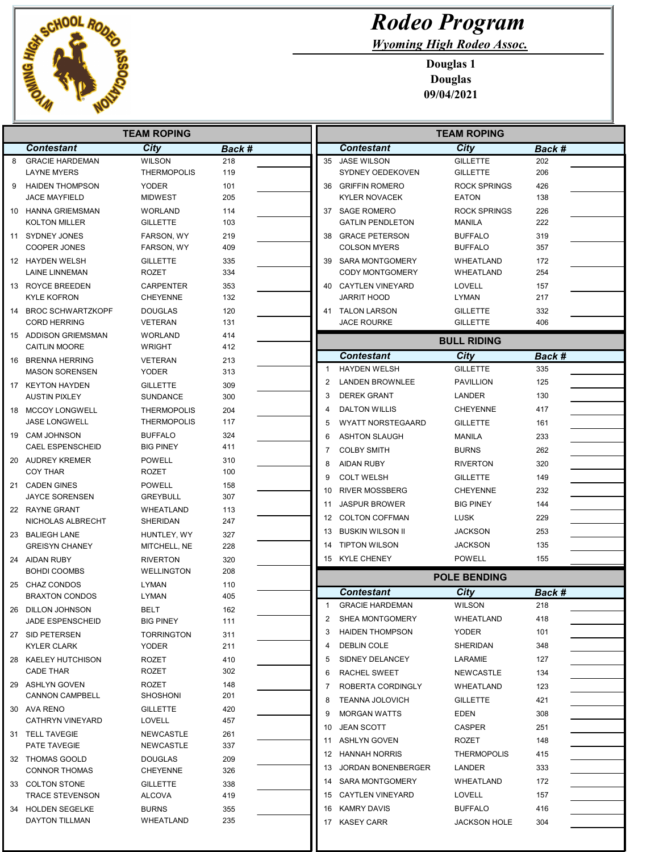

Wyoming High Rodeo Assoc.

| <b>TEAM ROPING</b> |                                             |                                     |            |    | <b>TEAM ROPING</b>                        |                                       |            |  |
|--------------------|---------------------------------------------|-------------------------------------|------------|----|-------------------------------------------|---------------------------------------|------------|--|
|                    | <b>Contestant</b>                           | City                                | Back #     |    | <b>Contestant</b>                         | City                                  | Back #     |  |
| 8                  | <b>GRACIE HARDEMAN</b>                      | <b>WILSON</b>                       | 218        | 35 | <b>JASE WILSON</b>                        | <b>GILLETTE</b>                       | 202        |  |
|                    | <b>LAYNE MYERS</b>                          | <b>THERMOPOLIS</b>                  | 119        |    | SYDNEY OEDEKOVEN                          | <b>GILLETTE</b>                       | 206        |  |
| 9                  | <b>HAIDEN THOMPSON</b>                      | <b>YODER</b>                        | 101        | 36 | <b>GRIFFIN ROMERO</b>                     | <b>ROCK SPRINGS</b>                   | 426        |  |
|                    | <b>JACE MAYFIELD</b>                        | <b>MIDWEST</b>                      | 205        |    | <b>KYLER NOVACEK</b>                      | <b>EATON</b>                          | 138        |  |
|                    | 10 HANNA GRIEMSMAN                          | <b>WORLAND</b>                      | 114        |    | 37 SAGE ROMERO                            | <b>ROCK SPRINGS</b>                   | 226        |  |
|                    | <b>KOLTON MILLER</b>                        | <b>GILLETTE</b>                     | 103        |    | <b>GATLIN PENDLETON</b>                   | <b>MANILA</b>                         | 222        |  |
|                    | 11 SYDNEY JONES                             | FARSON, WY                          | 219        | 38 | <b>GRACE PETERSON</b>                     | <b>BUFFALO</b>                        | 319        |  |
|                    | <b>COOPER JONES</b>                         | FARSON, WY                          | 409        |    | <b>COLSON MYERS</b>                       | <b>BUFFALO</b>                        | 357        |  |
|                    | 12 HAYDEN WELSH                             | <b>GILLETTE</b>                     | 335        |    | 39 SARA MONTGOMERY                        | WHEATLAND                             | 172        |  |
|                    | <b>LAINE LINNEMAN</b>                       | <b>ROZET</b>                        | 334        |    | <b>CODY MONTGOMERY</b>                    | WHEATLAND                             | 254        |  |
|                    | 13 ROYCE BREEDEN<br><b>KYLE KOFRON</b>      | <b>CARPENTER</b><br><b>CHEYENNE</b> | 353<br>132 |    | 40 CAYTLEN VINEYARD<br><b>JARRIT HOOD</b> | LOVELL<br>LYMAN                       | 157<br>217 |  |
|                    |                                             |                                     |            |    |                                           |                                       |            |  |
|                    | 14 BROC SCHWARTZKOPF<br><b>CORD HERRING</b> | <b>DOUGLAS</b><br><b>VETERAN</b>    | 120<br>131 |    | 41 TALON LARSON<br><b>JACE ROURKE</b>     | <b>GILLETTE</b><br><b>GILLETTE</b>    | 332<br>406 |  |
|                    | 15 ADDISON GRIEMSMAN                        | <b>WORLAND</b>                      | 414        |    |                                           |                                       |            |  |
|                    | <b>CAITLIN MOORE</b>                        | <b>WRIGHT</b>                       | 412        |    |                                           | <b>BULL RIDING</b>                    |            |  |
|                    | 16 BRENNA HERRING                           | <b>VETERAN</b>                      | 213        |    | <b>Contestant</b>                         | City                                  | Back #     |  |
|                    | <b>MASON SORENSEN</b>                       | <b>YODER</b>                        | 313        |    | <b>HAYDEN WELSH</b>                       | <b>GILLETTE</b>                       | 335        |  |
|                    | 17 KEYTON HAYDEN                            | <b>GILLETTE</b>                     | 309        | 2  | <b>LANDEN BROWNLEE</b>                    | <b>PAVILLION</b>                      | 125        |  |
|                    | <b>AUSTIN PIXLEY</b>                        | <b>SUNDANCE</b>                     | 300        | 3  | <b>DEREK GRANT</b>                        | LANDER                                | 130        |  |
|                    | 18 MCCOY LONGWELL                           | <b>THERMOPOLIS</b>                  | 204        |    | <b>DALTON WILLIS</b>                      | <b>CHEYENNE</b>                       | 417        |  |
|                    | <b>JASE LONGWELL</b>                        | <b>THERMOPOLIS</b>                  | 117        | 5  | <b>WYATT NORSTEGAARD</b>                  | <b>GILLETTE</b>                       | 161        |  |
|                    | 19 CAM JOHNSON                              | <b>BUFFALO</b>                      | 324        | 6  | <b>ASHTON SLAUGH</b>                      | <b>MANILA</b>                         | 233        |  |
|                    | <b>CAEL ESPENSCHEID</b>                     | <b>BIG PINEY</b>                    | 411        | 7  | <b>COLBY SMITH</b>                        | <b>BURNS</b>                          | 262        |  |
|                    | 20 AUDREY KREMER                            | <b>POWELL</b>                       | 310        | 8  | <b>AIDAN RUBY</b>                         | <b>RIVERTON</b>                       | 320        |  |
|                    | <b>COY THAR</b>                             | <b>ROZET</b>                        | 100        | 9  |                                           |                                       |            |  |
|                    | 21 CADEN GINES                              | <b>POWELL</b>                       | 158        |    | <b>COLT WELSH</b>                         | <b>GILLETTE</b>                       | 149        |  |
|                    | <b>JAYCE SORENSEN</b>                       | <b>GREYBULL</b>                     | 307        | 10 | <b>RIVER MOSSBERG</b>                     | <b>CHEYENNE</b>                       | 232        |  |
|                    | 22 RAYNE GRANT                              | WHEATLAND                           | 113        | 11 | <b>JASPUR BROWER</b>                      | <b>BIG PINEY</b>                      | 144        |  |
|                    | NICHOLAS ALBRECHT                           | SHERIDAN                            | 247        | 12 | <b>COLTON COFFMAN</b>                     | <b>LUSK</b>                           | 229        |  |
|                    | 23 BALIEGH LANE                             | HUNTLEY, WY                         | 327        | 13 | <b>BUSKIN WILSON II</b>                   | <b>JACKSON</b>                        | 253        |  |
|                    | <b>GREISYN CHANEY</b>                       | MITCHELL, NE                        | 228        | 14 | <b>TIPTON WILSON</b>                      | <b>JACKSON</b>                        | 135        |  |
|                    | 24 AIDAN RUBY                               | <b>RIVERTON</b>                     | 320        |    | 15 KYLE CHENEY                            | <b>POWELL</b>                         | 155        |  |
|                    | <b>BOHDI COOMBS</b>                         | <b>WELLINGTON</b>                   | 208        |    |                                           | <b>POLE BENDING</b>                   |            |  |
|                    | 25 CHAZ CONDOS                              | <b>LYMAN</b>                        | 110        |    |                                           |                                       |            |  |
|                    | <b>BRAXTON CONDOS</b>                       | LYMAN                               | 405        |    | <b>Contestant</b>                         | City<br><b>WILSON</b>                 | Back #     |  |
|                    | 26 DILLON JOHNSON                           | BELT                                | 162        |    | <b>GRACIE HARDEMAN</b>                    |                                       | 218        |  |
|                    | <b>JADE ESPENSCHEID</b>                     | <b>BIG PINEY</b>                    | 111        | 2  | SHEA MONTGOMERY                           | WHEATLAND                             | 418        |  |
|                    | 27 SID PETERSEN                             | <b>TORRINGTON</b>                   | 311        | 3  | <b>HAIDEN THOMPSON</b>                    | <b>YODER</b>                          | 101        |  |
|                    | <b>KYLER CLARK</b>                          | <b>YODER</b>                        | 211        | 4  | <b>DEBLIN COLE</b>                        | <b>SHERIDAN</b>                       | 348        |  |
|                    | 28 KAELEY HUTCHISON                         | ROZET                               | 410        | 5  | SIDNEY DELANCEY                           | LARAMIE                               | 127        |  |
|                    | CADE THAR                                   | ROZET                               | 302        | 6  | RACHEL SWEET                              | NEWCASTLE                             | 134        |  |
|                    | 29 ASHLYN GOVEN                             | ROZET                               | 148        |    | ROBERTA CORDINGLY                         | WHEATLAND                             | 123        |  |
|                    | <b>CANNON CAMPBELL</b>                      | SHOSHONI                            | 201        | 8  | <b>TEANNA JOLOVICH</b>                    | <b>GILLETTE</b>                       | 421        |  |
|                    | 30 AVA RENO                                 | <b>GILLETTE</b>                     | 420        | 9  | <b>MORGAN WATTS</b>                       | <b>EDEN</b>                           | 308        |  |
|                    | CATHRYN VINEYARD                            | <b>LOVELL</b>                       | 457        | 10 | <b>JEAN SCOTT</b>                         | <b>CASPER</b>                         | 251        |  |
|                    | 31 TELL TAVEGIE                             | <b>NEWCASTLE</b>                    | 261        |    | 11 ASHLYN GOVEN                           | <b>ROZET</b>                          | 148        |  |
|                    | PATE TAVEGIE                                | NEWCASTLE                           | 337        |    | 12 HANNAH NORRIS                          | <b>THERMOPOLIS</b>                    | 415        |  |
|                    | 32 THOMAS GOOLD                             | <b>DOUGLAS</b>                      | 209        |    | 13 JORDAN BONENBERGER                     | LANDER                                | 333        |  |
|                    | <b>CONNOR THOMAS</b>                        | <b>CHEYENNE</b>                     | 326        | 14 | SARA MONTGOMERY                           | WHEATLAND                             | 172        |  |
|                    | 33 COLTON STONE                             | <b>GILLETTE</b>                     | 338        |    | 15 CAYTLEN VINEYARD                       | <b>LOVELL</b>                         | 157        |  |
|                    |                                             |                                     |            |    |                                           |                                       |            |  |
|                    | <b>TRACE STEVENSON</b>                      | <b>ALCOVA</b>                       | 419        |    |                                           |                                       |            |  |
|                    | 34 HOLDEN SEGELKE<br>DAYTON TILLMAN         | <b>BURNS</b><br>WHEATLAND           | 355<br>235 | 16 | KAMRY DAVIS<br>17 KASEY CARR              | <b>BUFFALO</b><br><b>JACKSON HOLE</b> | 416<br>304 |  |